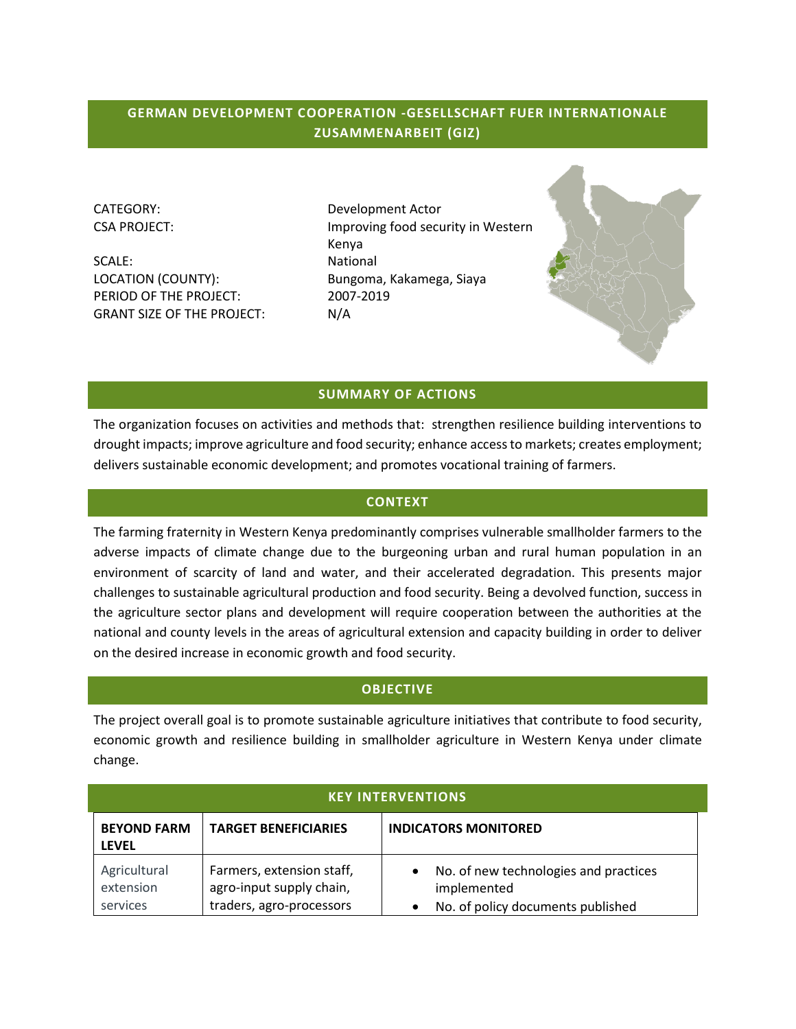# **GERMAN DEVELOPMENT COOPERATION -GESELLSCHAFT FUER INTERNATIONALE ZUSAMMENARBEIT (GIZ)**

SCALE: National LOCATION (COUNTY): Bungoma, Kakamega, Siaya PERIOD OF THE PROJECT: 2007-2019 GRANT SIZE OF THE PROJECT: N/A

CATEGORY: Development Actor CSA PROJECT: Improving food security in Western Kenya



#### **SUMMARY OF ACTIONS**

The organization focuses on activities and methods that: strengthen resilience building interventions to drought impacts; improve agriculture and food security; enhance access to markets; creates employment; delivers sustainable economic development; and promotes vocational training of farmers.

#### **CONTEXT**

The farming fraternity in Western Kenya predominantly comprises vulnerable smallholder farmers to the adverse impacts of climate change due to the burgeoning urban and rural human population in an environment of scarcity of land and water, and their accelerated degradation. This presents major challenges to sustainable agricultural production and food security. Being a devolved function, success in the agriculture sector plans and development will require cooperation between the authorities at the national and county levels in the areas of agricultural extension and capacity building in order to deliver on the desired increase in economic growth and food security.

#### **OBJECTIVE**

The project overall goal is to promote sustainable agriculture initiatives that contribute to food security, economic growth and resilience building in smallholder agriculture in Western Kenya under climate change.

| <b>KEY INTERVENTIONS</b>              |                                                                                   |                                                                                           |
|---------------------------------------|-----------------------------------------------------------------------------------|-------------------------------------------------------------------------------------------|
| <b>BEYOND FARM</b><br><b>LEVEL</b>    | <b>TARGET BENEFICIARIES</b>                                                       | <b>INDICATORS MONITORED</b>                                                               |
| Agricultural<br>extension<br>services | Farmers, extension staff,<br>agro-input supply chain,<br>traders, agro-processors | No. of new technologies and practices<br>implemented<br>No. of policy documents published |